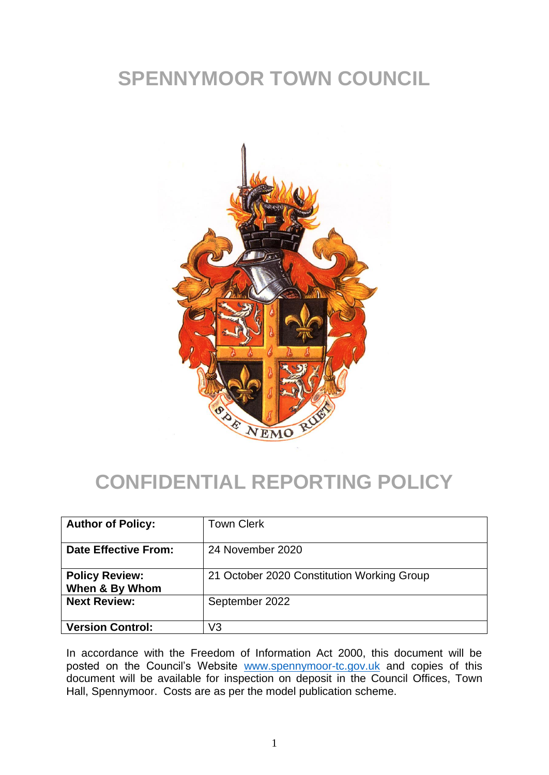# **SPENNYMOOR TOWN COUNCIL**



## **CONFIDENTIAL REPORTING POLICY**

| <b>Author of Policy:</b>                | <b>Town Clerk</b>                          |
|-----------------------------------------|--------------------------------------------|
| <b>Date Effective From:</b>             | 24 November 2020                           |
| <b>Policy Review:</b><br>When & By Whom | 21 October 2020 Constitution Working Group |
| <b>Next Review:</b>                     | September 2022                             |
| <b>Version Control:</b>                 | V3                                         |

In accordance with the Freedom of Information Act 2000, this document will be posted on the Council's Website [www.spennymoor-tc.gov.uk](http://www.spennymoor-tc.gov.uk/) and copies of this document will be available for inspection on deposit in the Council Offices, Town Hall, Spennymoor. Costs are as per the model publication scheme.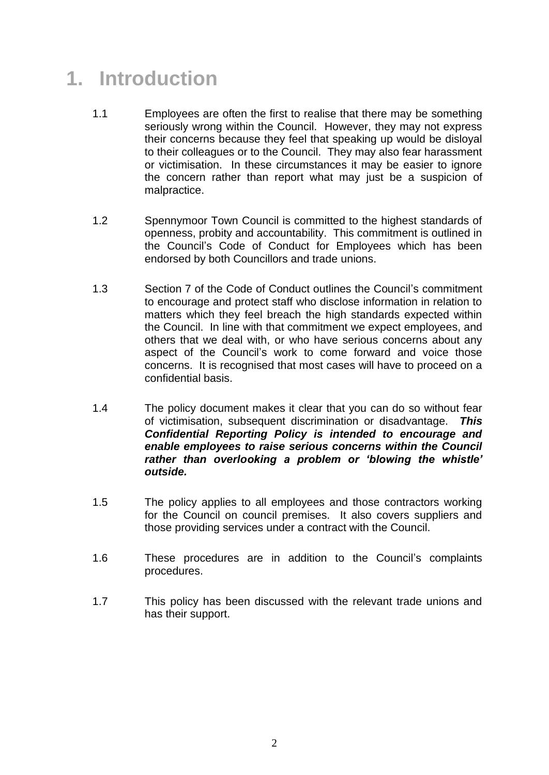# **1. Introduction**

- 1.1 Employees are often the first to realise that there may be something seriously wrong within the Council. However, they may not express their concerns because they feel that speaking up would be disloyal to their colleagues or to the Council. They may also fear harassment or victimisation. In these circumstances it may be easier to ignore the concern rather than report what may just be a suspicion of malpractice.
- 1.2 Spennymoor Town Council is committed to the highest standards of openness, probity and accountability. This commitment is outlined in the Council's Code of Conduct for Employees which has been endorsed by both Councillors and trade unions.
- 1.3 Section 7 of the Code of Conduct outlines the Council's commitment to encourage and protect staff who disclose information in relation to matters which they feel breach the high standards expected within the Council. In line with that commitment we expect employees, and others that we deal with, or who have serious concerns about any aspect of the Council's work to come forward and voice those concerns. It is recognised that most cases will have to proceed on a confidential basis.
- 1.4 The policy document makes it clear that you can do so without fear of victimisation, subsequent discrimination or disadvantage. *This Confidential Reporting Policy is intended to encourage and enable employees to raise serious concerns within the Council rather than overlooking a problem or 'blowing the whistle' outside.*
- 1.5 The policy applies to all employees and those contractors working for the Council on council premises. It also covers suppliers and those providing services under a contract with the Council.
- 1.6 These procedures are in addition to the Council's complaints procedures.
- 1.7 This policy has been discussed with the relevant trade unions and has their support.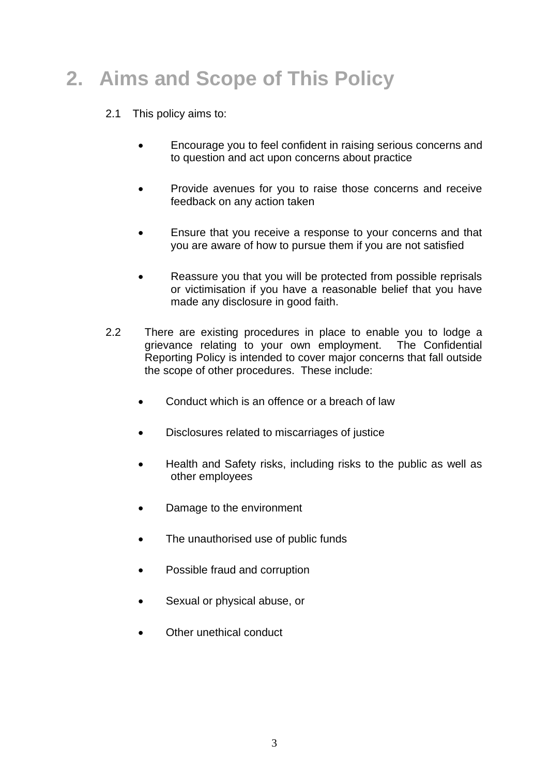# **2. Aims and Scope of This Policy**

#### 2.1 This policy aims to:

- Encourage you to feel confident in raising serious concerns and to question and act upon concerns about practice
- Provide avenues for you to raise those concerns and receive feedback on any action taken
- Ensure that you receive a response to your concerns and that you are aware of how to pursue them if you are not satisfied
- Reassure you that you will be protected from possible reprisals or victimisation if you have a reasonable belief that you have made any disclosure in good faith.
- 2.2 There are existing procedures in place to enable you to lodge a grievance relating to your own employment. The Confidential Reporting Policy is intended to cover major concerns that fall outside the scope of other procedures. These include:
	- Conduct which is an offence or a breach of law
	- Disclosures related to miscarriages of justice
	- Health and Safety risks, including risks to the public as well as other employees
	- Damage to the environment
	- The unauthorised use of public funds
	- Possible fraud and corruption
	- Sexual or physical abuse, or
	- Other unethical conduct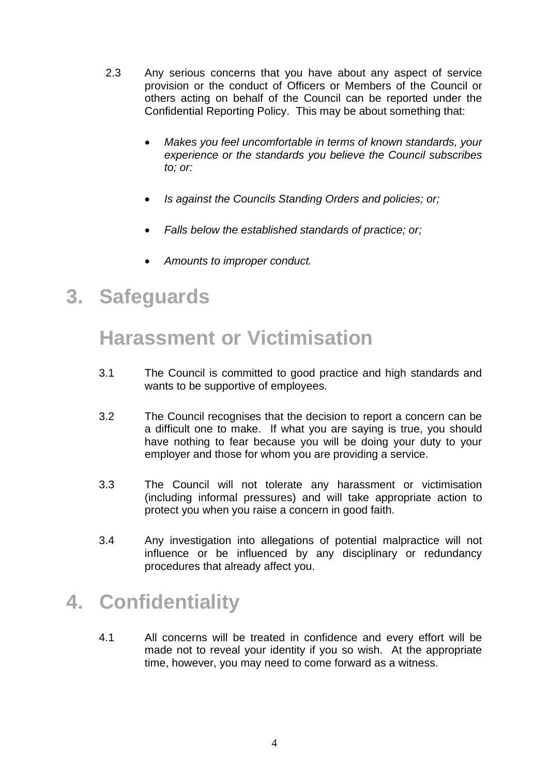- 2.3 Any serious concerns that you have about any aspect of service provision or the conduct of Officers or Members of the Council or others acting on behalf of the Council can be reported under the Confidential Reporting Policy. This may be about something that:
	- *Makes you feel uncomfortable in terms of known standards, your experience or the standards you believe the Council subscribes to; or:*
	- *Is against the Councils Standing Orders and policies; or;*
	- *Falls below the established standards of practice; or;*
	- *Amounts to improper conduct.*

#### **3. Safeguards**

## **Harassment or Victimisation**

- 3.1 The Council is committed to good practice and high standards and wants to be supportive of employees.
- 3.2 The Council recognises that the decision to report a concern can be a difficult one to make. If what you are saying is true, you should have nothing to fear because you will be doing your duty to your employer and those for whom you are providing a service.
- 3.3 The Council will not tolerate any harassment or victimisation (including informal pressures) and will take appropriate action to protect you when you raise a concern in good faith.
- 3.4 Any investigation into allegations of potential malpractice will not influence or be influenced by any disciplinary or redundancy procedures that already affect you.

## **4. Confidentiality**

4.1 All concerns will be treated in confidence and every effort will be made not to reveal your identity if you so wish. At the appropriate time, however, you may need to come forward as a witness.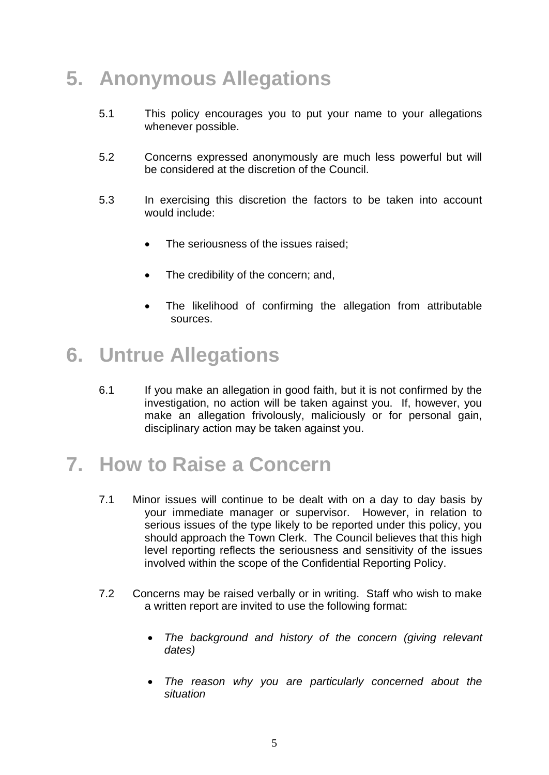## **5. Anonymous Allegations**

- 5.1 This policy encourages you to put your name to your allegations whenever possible.
- 5.2 Concerns expressed anonymously are much less powerful but will be considered at the discretion of the Council.
- 5.3 In exercising this discretion the factors to be taken into account would include:
	- The seriousness of the issues raised;
	- The credibility of the concern; and,
	- The likelihood of confirming the allegation from attributable sources.

#### **6. Untrue Allegations**

6.1 If you make an allegation in good faith, but it is not confirmed by the investigation, no action will be taken against you. If, however, you make an allegation frivolously, maliciously or for personal gain, disciplinary action may be taken against you.

## **7. How to Raise a Concern**

- 7.1 Minor issues will continue to be dealt with on a day to day basis by your immediate manager or supervisor. However, in relation to serious issues of the type likely to be reported under this policy, you should approach the Town Clerk. The Council believes that this high level reporting reflects the seriousness and sensitivity of the issues involved within the scope of the Confidential Reporting Policy.
- 7.2 Concerns may be raised verbally or in writing. Staff who wish to make a written report are invited to use the following format:
	- *The background and history of the concern (giving relevant dates)*
	- *The reason why you are particularly concerned about the situation*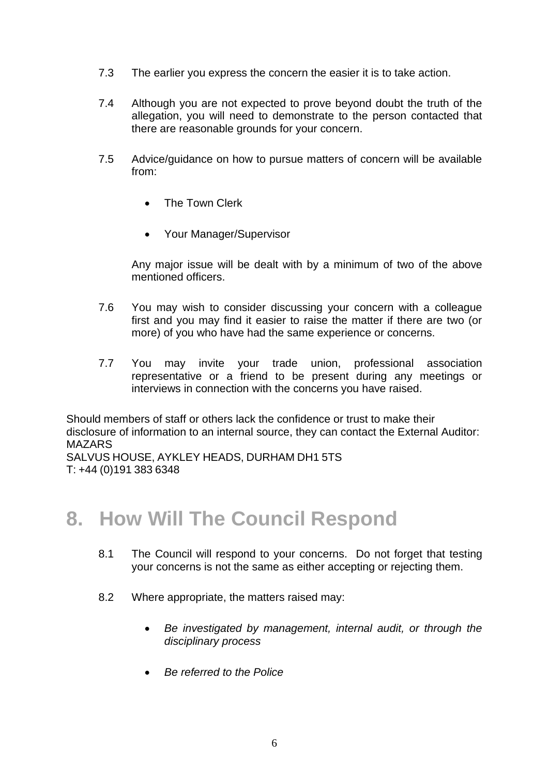- 7.3 The earlier you express the concern the easier it is to take action.
- 7.4 Although you are not expected to prove beyond doubt the truth of the allegation, you will need to demonstrate to the person contacted that there are reasonable grounds for your concern.
- 7.5 Advice/guidance on how to pursue matters of concern will be available from:
	- The Town Clerk
	- Your Manager/Supervisor

Any major issue will be dealt with by a minimum of two of the above mentioned officers.

- 7.6 You may wish to consider discussing your concern with a colleague first and you may find it easier to raise the matter if there are two (or more) of you who have had the same experience or concerns.
- 7.7 You may invite your trade union, professional association representative or a friend to be present during any meetings or interviews in connection with the concerns you have raised.

Should members of staff or others lack the confidence or trust to make their disclosure of information to an internal source, they can contact the External Auditor: MAZARS SALVUS HOUSE, AYKLEY HEADS, DURHAM DH1 5TS

T: +44 (0)191 383 6348

## **8. How Will The Council Respond**

- 8.1 The Council will respond to your concerns. Do not forget that testing your concerns is not the same as either accepting or rejecting them.
- 8.2 Where appropriate, the matters raised may:
	- *Be investigated by management, internal audit, or through the disciplinary process*
	- *Be referred to the Police*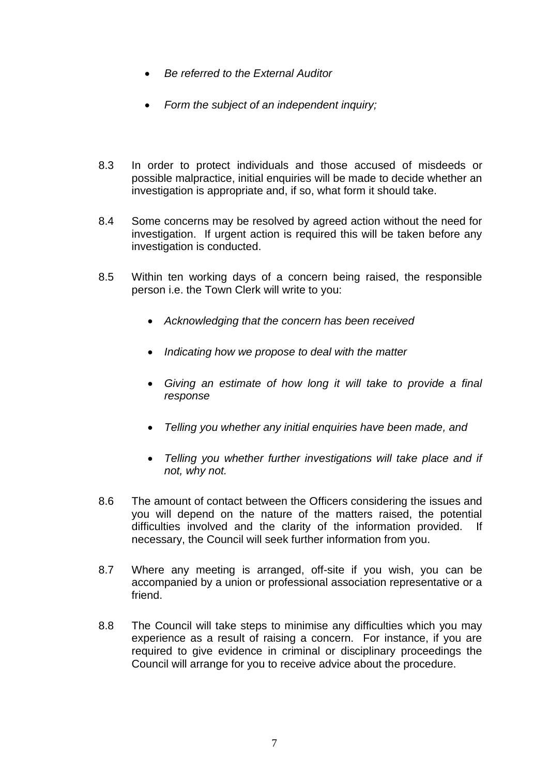- *Be referred to the External Auditor*
- *Form the subject of an independent inquiry;*
- 8.3 In order to protect individuals and those accused of misdeeds or possible malpractice, initial enquiries will be made to decide whether an investigation is appropriate and, if so, what form it should take.
- 8.4 Some concerns may be resolved by agreed action without the need for investigation. If urgent action is required this will be taken before any investigation is conducted.
- 8.5 Within ten working days of a concern being raised, the responsible person i.e. the Town Clerk will write to you:
	- *Acknowledging that the concern has been received*
	- *Indicating how we propose to deal with the matter*
	- *Giving an estimate of how long it will take to provide a final response*
	- *Telling you whether any initial enquiries have been made, and*
	- *Telling you whether further investigations will take place and if not, why not.*
- 8.6 The amount of contact between the Officers considering the issues and you will depend on the nature of the matters raised, the potential difficulties involved and the clarity of the information provided. If necessary, the Council will seek further information from you.
- 8.7 Where any meeting is arranged, off-site if you wish, you can be accompanied by a union or professional association representative or a friend.
- 8.8 The Council will take steps to minimise any difficulties which you may experience as a result of raising a concern. For instance, if you are required to give evidence in criminal or disciplinary proceedings the Council will arrange for you to receive advice about the procedure.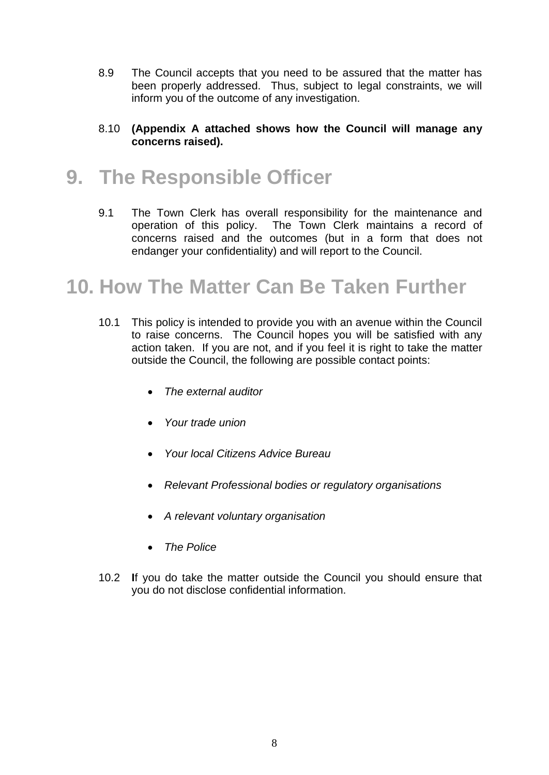- 8.9 The Council accepts that you need to be assured that the matter has been properly addressed. Thus, subject to legal constraints, we will inform you of the outcome of any investigation.
- 8.10 **(Appendix A attached shows how the Council will manage any concerns raised).**

## **9. The Responsible Officer**

9.1 The Town Clerk has overall responsibility for the maintenance and operation of this policy. The Town Clerk maintains a record of concerns raised and the outcomes (but in a form that does not endanger your confidentiality) and will report to the Council.

## **10. How The Matter Can Be Taken Further**

- 10.1 This policy is intended to provide you with an avenue within the Council to raise concerns. The Council hopes you will be satisfied with any action taken. If you are not, and if you feel it is right to take the matter outside the Council, the following are possible contact points:
	- *The external auditor*
	- *Your trade union*
	- *Your local Citizens Advice Bureau*
	- *Relevant Professional bodies or regulatory organisations*
	- *A relevant voluntary organisation*
	- *The Police*
- 10.2 **I**f you do take the matter outside the Council you should ensure that you do not disclose confidential information.